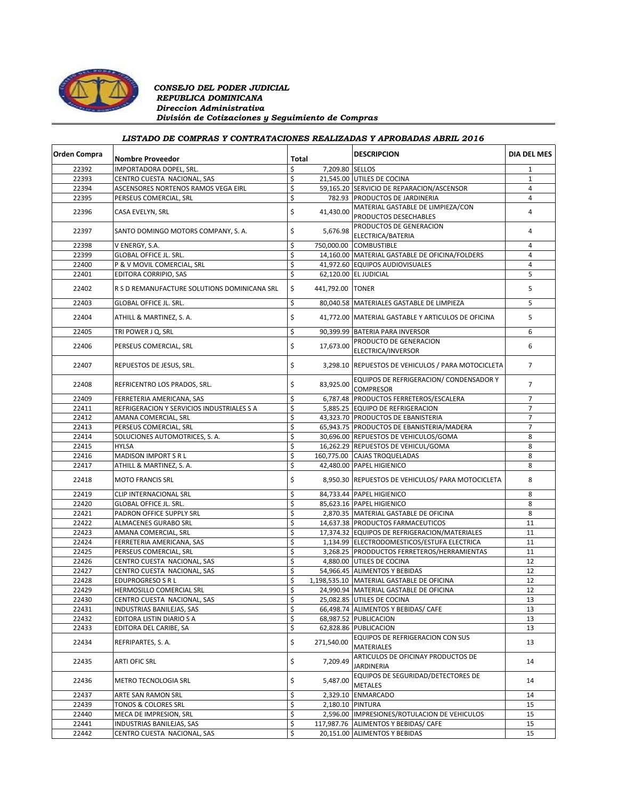

### *CONSEJO DEL PODER JUDICIAL REPUBLICA DOMINICANA Direccion Administrativa División de Cotizaciones y Seguimiento de Compras*

## *LISTADO DE COMPRAS Y CONTRATACIONES REALIZADAS Y APROBADAS ABRIL 2016*

| Orden Compra | <b>Nombre Proveedor</b>                      | Total |                  | <b>DESCRIPCION</b>                                      | <b>DIA DEL MES</b> |
|--------------|----------------------------------------------|-------|------------------|---------------------------------------------------------|--------------------|
| 22392        | IMPORTADORA DOPEL, SRL.                      | \$    | 7,209.80 SELLOS  |                                                         | $\mathbf{1}$       |
| 22393        | CENTRO CUESTA NACIONAL, SAS                  | \$    |                  | 21,545.00 UTILES DE COCINA                              | 1                  |
| 22394        | ASCENSORES NORTENOS RAMOS VEGA EIRL          | \$    |                  | 59,165.20 SERVICIO DE REPARACION/ASCENSOR               | 4                  |
| 22395        | PERSEUS COMERCIAL, SRL                       | \$    |                  | 782.93 PRODUCTOS DE JARDINERIA                          | 4                  |
| 22396        |                                              |       |                  | MATERIAL GASTABLE DE LIMPIEZA/CON                       |                    |
|              | CASA EVELYN, SRL                             | \$    | 41,430.00        | PRODUCTOS DESECHABLES                                   | 4                  |
|              |                                              |       |                  | PRODUCTOS DE GENERACION                                 |                    |
| 22397        | SANTO DOMINGO MOTORS COMPANY, S.A.           | \$    | 5,676.98         | ELECTRICA/BATERIA                                       | 4                  |
|              |                                              |       |                  |                                                         | $\overline{4}$     |
| 22398        | V ENERGY, S.A.                               | \$    |                  | 750,000.00 COMBUSTIBLE                                  |                    |
| 22399        | <b>GLOBAL OFFICE JL. SRL.</b>                | \$    |                  | 14,160.00 MATERIAL GASTABLE DE OFICINA/FOLDERS          | 4                  |
| 22400        | P & V MOVIL COMERCIAL, SRL                   | \$    |                  | 41,972.60 EQUIPOS AUDIOVISUALES                         | $\overline{4}$     |
| 22401        | EDITORA CORRIPIO, SAS                        | \$    |                  | 62,120.00 EL JUDICIAL                                   | 5                  |
| 22402        | R S D REMANUFACTURE SOLUTIONS DOMINICANA SRL | \$    | 441.792.00 TONER |                                                         | 5                  |
| 22403        | GLOBAL OFFICE JL. SRL.                       | \$    |                  | 80,040.58 MATERIALES GASTABLE DE LIMPIEZA               | 5                  |
| 22404        | ATHILL & MARTINEZ, S. A.                     | \$    |                  | 41,772.00 MATERIAL GASTABLE Y ARTICULOS DE OFICINA      | 5                  |
| 22405        | TRI POWER J Q, SRL                           | \$    |                  | 90,399.99 BATERIA PARA INVERSOR                         | 6                  |
|              |                                              |       |                  |                                                         |                    |
| 22406        | PERSEUS COMERCIAL, SRL                       | \$    | 17,673.00        | PRODUCTO DE GENERACION                                  | 6                  |
|              |                                              |       |                  | ELECTRICA/INVERSOR                                      |                    |
| 22407        | REPUESTOS DE JESUS, SRL.                     | \$    |                  | 3,298.10 REPUESTOS DE VEHICULOS / PARA MOTOCICLETA      | $\overline{7}$     |
| 22408        | REFRICENTRO LOS PRADOS, SRL.                 | \$    | 83,925.00        | EQUIPOS DE REFRIGERACION/ CONDENSADOR Y                 | $\overline{7}$     |
|              |                                              |       |                  | <b>COMPRESOR</b>                                        |                    |
| 22409        | FERRETERIA AMERICANA, SAS                    | \$    |                  | 6,787.48 PRODUCTOS FERRETEROS/ESCALERA                  | $\overline{7}$     |
| 22411        | REFRIGERACION Y SERVICIOS INDUSTRIALES S A   | \$    |                  | 5,885.25 EQUIPO DE REFRIGERACION                        | $\overline{7}$     |
| 22412        | AMANA COMERCIAL, SRL                         | \$    |                  | 43,323.70 PRODUCTOS DE EBANISTERIA                      | $\overline{7}$     |
| 22413        | PERSEUS COMERCIAL, SRL                       | \$    |                  | 65,943.75 PRODUCTOS DE EBANISTERIA/MADERA               | $\overline{7}$     |
| 22414        | SOLUCIONES AUTOMOTRICES, S. A.               | \$    |                  | 30,696.00 REPUESTOS DE VEHICULOS/GOMA                   | 8                  |
| 22415        | <b>HYLSA</b>                                 | \$    |                  | 16,262.29 REPUESTOS DE VEHICUL/GOMA                     | 8                  |
| 22416        | MADISON IMPORT S R L                         | \$    |                  | 160,775.00 CAJAS TROQUELADAS                            | 8                  |
| 22417        | ATHILL & MARTINEZ, S. A.                     | \$    |                  | 42,480.00 PAPEL HIGIENICO                               | 8                  |
|              |                                              |       |                  |                                                         |                    |
| 22418        | <b>MOTO FRANCIS SRL</b>                      | \$    |                  | 8,950.30 REPUESTOS DE VEHICULOS/ PARA MOTOCICLETA       | 8                  |
| 22419        | CLIP INTERNACIONAL SRL                       | \$    |                  | 84,733.44 PAPEL HIGIENICO                               | 8                  |
| 22420        | GLOBAL OFFICE JL. SRL.                       | \$    |                  | 85,623.16 PAPEL HIGIENICO                               | 8                  |
| 22421        | PADRON OFFICE SUPPLY SRL                     | \$    |                  | 2,870.35 MATERIAL GASTABLE DE OFICINA                   | 8                  |
| 22422        | ALMACENES GURABO SRL                         | \$    |                  | 14,637.38 PRODUCTOS FARMACEUTICOS                       | 11                 |
| 22423        | AMANA COMERCIAL, SRL                         | \$    |                  | 17,374.32 EQUIPOS DE REFRIGERACION/MATERIALES           | 11                 |
| 22424        | FERRETERIA AMERICANA, SAS                    | \$    |                  | 1,134.99 ELECTRODOMESTICOS/ESTUFA ELECTRICA             | 11                 |
| 22425        | PERSEUS COMERCIAL, SRL                       | \$    |                  | 3,268.25 PRODDUCTOS FERRETEROS/HERRAMIENTAS             | 11                 |
| 22426        | CENTRO CUESTA NACIONAL, SAS                  | \$    |                  | 4,880.00 UTILES DE COCINA                               | 12                 |
| 22427        | CENTRO CUESTA NACIONAL, SAS                  | \$    |                  | 54,966.45 ALIMENTOS Y BEBIDAS                           | 12                 |
| 22428        | <b>EDUPROGRESO S R L</b>                     | \$    |                  | 1,198,535.10 MATERIAL GASTABLE DE OFICINA               | 12                 |
| 22429        | HERMOSILLO COMERCIAL SRL                     | \$    |                  | 24,990.94 MATERIAL GASTABLE DE OFICINA                  | 12                 |
|              |                                              |       |                  |                                                         | 13                 |
| 22430        | CENTRO CUESTA NACIONAL, SAS                  | \$    |                  | 25,082.85 UTILES DE COCINA                              | 13                 |
| 22431        | INDUSTRIAS BANILEJAS, SAS                    |       |                  | 66,498.74 ALIMENTOS Y BEBIDAS/ CAFE                     |                    |
| 22432        | EDITORA LISTIN DIARIO S A                    | \$    |                  | 68,987.52 PUBLICACION                                   | 13                 |
| 22433        | EDITORA DEL CARIBE, SA                       | \$    |                  | 62,828.86 PUBLICACION                                   | 13                 |
| 22434        | REFRIPARTES, S. A.                           | \$    | 271,540.00       | EQUIPOS DE REFRIGERACION CON SUS<br><b>MATERIALES</b>   | 13                 |
| 22435        | ARTI OFIC SRL                                | \$    | 7,209.49         | ARTICULOS DE OFICINAY PRODUCTOS DE<br><b>JARDINERIA</b> | 14                 |
| 22436        | METRO TECNOLOGIA SRL                         | \$    | 5,487.00         | EQUIPOS DE SEGURIDAD/DETECTORES DE<br><b>METALES</b>    | 14                 |
| 22437        | ARTE SAN RAMON SRL                           | \$    |                  | 2,329.10 ENMARCADO                                      | 14                 |
| 22439        | TONOS & COLORES SRL                          | \$    |                  | 2,180.10 PINTURA                                        | 15                 |
|              |                                              | \$    |                  |                                                         | 15                 |
| 22440        | MECA DE IMPRESION, SRL                       |       |                  | 2,596.00 IMPRESIONES/ROTULACION DE VEHICULOS            |                    |
| 22441        | INDUSTRIAS BANILEJAS, SAS                    | \$    |                  | 117,987.76 ALIMENTOS Y BEBIDAS/ CAFE                    | 15                 |
| 22442        | CENTRO CUESTA NACIONAL, SAS                  | \$    |                  | 20,151.00 ALIMENTOS Y BEBIDAS                           | 15                 |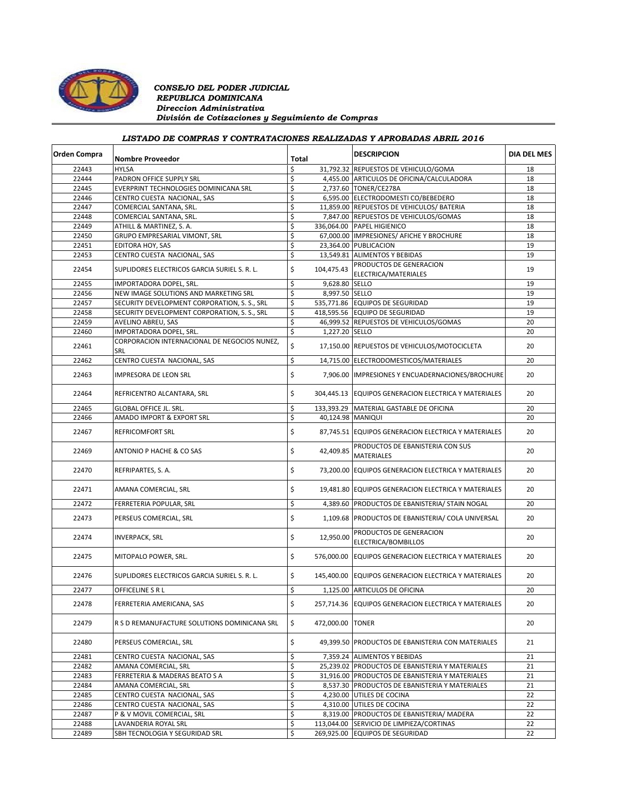

### *CONSEJO DEL PODER JUDICIAL REPUBLICA DOMINICANA Direccion Administrativa División de Cotizaciones y Seguimiento de Compras*

# *LISTADO DE COMPRAS Y CONTRATACIONES REALIZADAS Y APROBADAS ABRIL 2016*

| <b>Orden Compra</b> | <b>Nombre Proveedor</b>                             | Total |                   | <b>DESCRIPCION</b>                                    | <b>DIA DEL MES</b> |
|---------------------|-----------------------------------------------------|-------|-------------------|-------------------------------------------------------|--------------------|
| 22443               | <b>HYLSA</b>                                        | \$    |                   | 31,792.32 REPUESTOS DE VEHICULO/GOMA                  | 18                 |
| 22444               | PADRON OFFICE SUPPLY SRL                            | \$    |                   | 4,455.00 ARTICULOS DE OFICINA/CALCULADORA             | 18                 |
| 22445               | EVERPRINT TECHNOLOGIES DOMINICANA SRL               | \$    |                   | 2,737.60 TONER/CE278A                                 | 18                 |
| 22446               | CENTRO CUESTA NACIONAL, SAS                         | \$    |                   | 6,595.00 ELECTRODOMESTI CO/BEBEDERO                   | 18                 |
| 22447               | COMERCIAL SANTANA, SRL.                             | \$    |                   | 11,859.00 REPUESTOS DE VEHICULOS/ BATERIA             | 18                 |
| 22448               | COMERCIAL SANTANA, SRL.                             | \$    |                   | 7,847.00 REPUESTOS DE VEHICULOS/GOMAS                 | 18                 |
| 22449               | ATHILL & MARTINEZ, S. A.                            | \$    |                   | 336,064.00 PAPEL HIGIENICO                            | 18                 |
| 22450               | GRUPO EMPRESARIAL VIMONT, SRL                       | \$    |                   | 67,000.00 IMPRESIONES/ AFICHE Y BROCHURE              | 18                 |
| 22451               | EDITORA HOY, SAS                                    | \$    |                   | 23,364.00 PUBLICACION                                 | 19                 |
| 22453               | CENTRO CUESTA NACIONAL, SAS                         | \$    |                   | 13,549.81 ALIMENTOS Y BEBIDAS                         | 19                 |
| 22454               | SUPLIDORES ELECTRICOS GARCIA SURIEL S. R. L.        | \$    | 104,475.43        | PRODUCTOS DE GENERACION<br>ELECTRICA/MATERIALES       | 19                 |
| 22455               | IMPORTADORA DOPEL, SRL.                             | \$    | 9.628.80 SELLO    |                                                       | 19                 |
| 22456               | NEW IMAGE SOLUTIONS AND MARKETING SRL               | \$    | 8,997.50 SELLO    |                                                       | 19                 |
| 22457               | SECURITY DEVELOPMENT CORPORATION, S. S., SRL        | \$    |                   | 535,771.86 EQUIPOS DE SEGURIDAD                       | 19                 |
| 22458               | SECURITY DEVELOPMENT CORPORATION, S. S., SRL        | \$    |                   | 418,595.56 EQUIPO DE SEGURIDAD                        | 19                 |
| 22459               | AVELINO ABREU, SAS                                  | \$    |                   | 46,999.52 REPUESTOS DE VEHICULOS/GOMAS                | 20                 |
| 22460               | IMPORTADORA DOPEL, SRL.                             | \$    | 1,227.20 SELLO    |                                                       | 20                 |
| 22461               | CORPORACION INTERNACIONAL DE NEGOCIOS NUNEZ,<br>SRL | \$    |                   | 17,150.00 REPUESTOS DE VEHICULOS/MOTOCICLETA          | 20                 |
| 22462               | CENTRO CUESTA NACIONAL, SAS                         | \$    |                   | 14,715.00 ELECTRODOMESTICOS/MATERIALES                | 20                 |
| 22463               | IMPRESORA DE LEON SRL                               | \$    |                   | 7,906.00 IMPRESIONES Y ENCUADERNACIONES/BROCHURE      | 20                 |
| 22464               | REFRICENTRO ALCANTARA, SRL                          | \$    |                   | 304,445.13 EQUIPOS GENERACION ELECTRICA Y MATERIALES  | 20                 |
| 22465               | GLOBAL OFFICE JL. SRL.                              | \$    |                   | 133,393.29   MATERIAL GASTABLE DE OFICINA             | 20                 |
| 22466               | AMADO IMPORT & EXPORT SRL                           | \$    | 40,124.98 MANIQUI |                                                       | 20                 |
| 22467               | REFRICOMFORT SRL                                    | \$    |                   | 87,745.51 EQUIPOS GENERACION ELECTRICA Y MATERIALES   | 20                 |
| 22469               | ANTONIO P HACHE & CO SAS                            | \$    | 42,409.85         | PRODUCTOS DE EBANISTERIA CON SUS<br><b>MATERIALES</b> | 20                 |
| 22470               | REFRIPARTES, S. A.                                  | \$    |                   | 73,200.00 EQUIPOS GENERACION ELECTRICA Y MATERIALES   | 20                 |
| 22471               | AMANA COMERCIAL, SRL                                | \$    |                   | 19,481.80 EQUIPOS GENERACION ELECTRICA Y MATERIALES   | 20                 |
| 22472               | FERRETERIA POPULAR, SRL                             | \$    |                   | 4,389.60 PRODUCTOS DE EBANISTERIA/ STAIN NOGAL        | 20                 |
| 22473               | PERSEUS COMERCIAL, SRL                              | \$    |                   | 1,109.68 PRODUCTOS DE EBANISTERIA/ COLA UNIVERSAL     | 20                 |
| 22474               | <b>INVERPACK, SRL</b>                               | \$    | 12,950.00         | PRODUCTOS DE GENERACION<br>ELECTRICA/BOMBILLOS        | 20                 |
| 22475               | MITOPALO POWER, SRL.                                | \$    | 576,000.00        | EQUIPOS GENERACION ELECTRICA Y MATERIALES             | 20                 |
| 22476               | SUPLIDORES ELECTRICOS GARCIA SURIEL S. R. L.        | \$    |                   | 145,400.00 EQUIPOS GENERACION ELECTRICA Y MATERIALES  | 20                 |
| 22477               | OFFICELINE S R L                                    | \$    |                   | 1,125.00 ARTICULOS DE OFICINA                         | 20                 |
| 22478               | FERRETERIA AMERICANA, SAS                           | \$    | 257,714.36        | EQUIPOS GENERACION ELECTRICA Y MATERIALES             | 20                 |
| 22479               | R S D REMANUFACTURE SOLUTIONS DOMINICANA SRL        | \$    | 472,000.00 TONER  |                                                       | 20                 |
| 22480               | PERSEUS COMERCIAL, SRL                              | \$    |                   | 49,399.50 PRODUCTOS DE EBANISTERIA CON MATERIALES     | 21                 |
| 22481               | CENTRO CUESTA NACIONAL, SAS                         | \$    |                   | 7,359.24 ALIMENTOS Y BEBIDAS                          | 21                 |
| 22482               | AMANA COMERCIAL, SRL                                | \$    |                   | 25,239.02 PRODUCTOS DE EBANISTERIA Y MATERIALES       | 21                 |
| 22483               | FERRETERIA & MADERAS BEATO S A                      | \$    |                   | 31,916.00 PRODUCTOS DE EBANISTERIA Y MATERIALES       | 21                 |
| 22484               | AMANA COMERCIAL, SRL                                | \$    |                   | 8,537.30 PRODUCTOS DE EBANISTERIA Y MATERIALES        | 21                 |
| 22485               | CENTRO CUESTA NACIONAL, SAS                         | \$    |                   | 4,230.00 UTILES DE COCINA                             | 22                 |
| 22486               | CENTRO CUESTA NACIONAL, SAS                         | \$    |                   | 4,310.00 UTILES DE COCINA                             | 22                 |
| 22487               | P & V MOVIL COMERCIAL, SRL                          | \$    |                   | 8,319.00 PRODUCTOS DE EBANISTERIA/ MADERA             | 22                 |
| 22488               | LAVANDERIA ROYAL SRL                                | \$    |                   | 113.044.00 SERVICIO DE LIMPIEZA/CORTINAS              | 22                 |
| 22489               | SBH TECNOLOGIA Y SEGURIDAD SRL                      | \$    |                   | 269,925.00 EQUIPOS DE SEGURIDAD                       | 22                 |